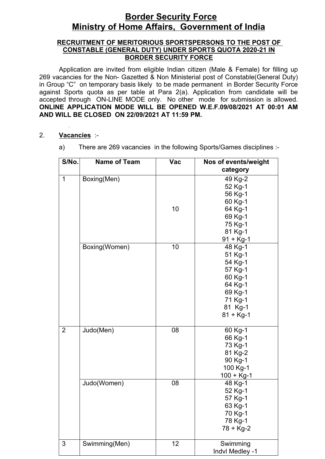# **Border Security Force Ministry of Home Affairs, Government of India**

#### **RECRUITMENT OF MERITORIOUS SPORTSPERSONS TO THE POST OF CONSTABLE (GENERAL DUTY) UNDER SPORTS QUOTA 2020-21 IN BORDER SECURITY FORCE**

Application are invited from eligible Indian citizen (Male & Female) for filling up 269 vacancies for the Non- Gazetted & Non Ministerial post of Constable(General Duty) in Group "C" on temporary basis likely to be made permanent in Border Security Force against Sports quota as per table at Para 2(a). Application from candidate will be accepted through ON-LINE MODE only. No other mode for submission is allowed. **ONLINE APPLICATION MODE WILL BE OPENED W.E.F.09/08/2021 AT 00:01 AM AND WILL BE CLOSED ON 22/09/2021 AT 11:59 PM.**

- 2. **Vacancies** :
	- a) There are 269 vacancies in the following Sports/Games disciplines :-

| S/No.          | <b>Name of Team</b> | <b>Vac</b> | Nos of events/weight |
|----------------|---------------------|------------|----------------------|
|                |                     |            | category             |
| $\mathbf{1}$   | Boxing(Men)         |            | 49 Kg-2              |
|                |                     |            | 52 Kg-1              |
|                |                     |            | 56 Kg-1              |
|                |                     |            | 60 Kg-1              |
|                |                     | 10         | 64 Kg-1              |
|                |                     |            | 69 Kg-1              |
|                |                     |            | 75 Kg-1              |
|                |                     |            | 81 Kg-1              |
|                |                     |            | $91 + Kg-1$          |
|                | Boxing(Women)       | 10         | 48 Kg-1              |
|                |                     |            | 51 Kg-1              |
|                |                     |            | 54 Kg-1              |
|                |                     |            | 57 Kg-1              |
|                |                     |            | 60 Kg-1              |
|                |                     |            | 64 Kg-1              |
|                |                     |            | 69 Kg-1              |
|                |                     |            | 71 Kg-1              |
|                |                     |            | 81 Kg-1              |
|                |                     |            | $81 + Kg-1$          |
|                |                     |            |                      |
| $\overline{2}$ | Judo(Men)           | 08         | 60 Kg-1              |
|                |                     |            | 66 Kg-1              |
|                |                     |            | 73 Kg-1              |
|                |                     |            | 81 Kg-2              |
|                |                     |            | 90 Kg-1              |
|                |                     |            | 100 Kg-1             |
|                |                     |            | $100 + Kg-1$         |
|                | Judo(Women)         | 08         | 48 Kg-1              |
|                |                     |            | 52 Kg-1              |
|                |                     |            | 57 Kg-1              |
|                |                     |            | 63 Kg-1              |
|                |                     |            | 70 Kg-1              |
|                |                     |            | 78 Kg-1              |
|                |                     |            | 78 + Kg-2            |
| 3              | Swimming(Men)       | 12         | Swimming             |
|                |                     |            | Indvl Medley -1      |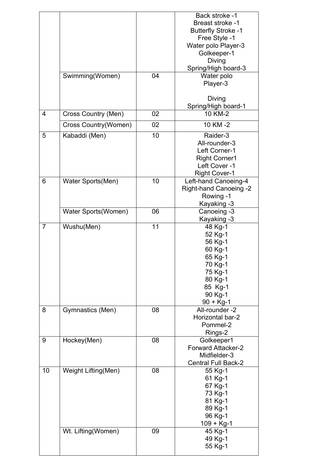|                |                      |    | Back stroke -1<br><b>Breast stroke -1</b><br><b>Butterfly Stroke -1</b><br>Free Style -1<br>Water polo Player-3<br>Golkeeper-1<br>Diving<br>Spring/High board-3 |
|----------------|----------------------|----|-----------------------------------------------------------------------------------------------------------------------------------------------------------------|
|                | Swimming(Women)      | 04 | Water polo<br>Player-3<br>Diving<br>Spring/High board-1                                                                                                         |
| 4              | Cross Country (Men)  | 02 | 10 KM-2                                                                                                                                                         |
|                | Cross Country(Women) | 02 | 10 KM-2                                                                                                                                                         |
| 5              | Kabaddi (Men)        | 10 | Raider-3<br>All-rounder-3<br>Left Corner-1<br><b>Right Corner1</b><br>Left Cover -1<br><b>Right Cover-1</b>                                                     |
| 6              | Water Sports(Men)    | 10 | Left-hand Canoeing-4<br>Right-hand Canoeing -2<br>Rowing -1<br>Kayaking -3                                                                                      |
|                | Water Sports(Women)  | 06 | Canoeing -3<br>Kayaking -3                                                                                                                                      |
| $\overline{7}$ | Wushu(Men)           | 11 | 48 Kg-1<br>52 Kg-1<br>56 Kg-1<br>60 Kg-1<br>65 Kg-1<br>70 Kg-1<br>75 Kg-1<br>80 Kg-1<br>85 Kg-1<br>90 Kg-1<br>$90 + Kg-1$                                       |
| 8              | Gymnastics (Men)     | 08 | All-rounder -2<br>Horizontal bar-2<br>Pommel-2<br>Rings-2                                                                                                       |
| 9              | Hockey(Men)          | 08 | Golkeeper1<br><b>Forward Attacker-2</b><br>Midfielder-3<br><b>Central Full Back-2</b>                                                                           |
| 10             | Weight Lifting(Men)  | 08 | 55 Kg-1<br>61 Kg-1<br>67 Kg-1<br>73 Kg-1<br>81 Kg-1<br>89 Kg-1<br>96 Kg-1<br>$109 + Kg-1$                                                                       |
|                | Wt. Lifting(Women)   | 09 | 45 Kg-1<br>49 Kg-1<br>55 Kg-1                                                                                                                                   |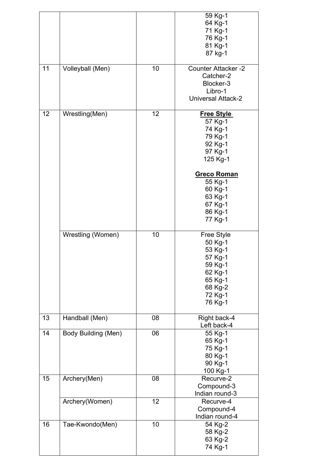|    |                            |    | 59 Kg-1                    |
|----|----------------------------|----|----------------------------|
|    |                            |    | 64 Kg-1                    |
|    |                            |    | 71 Kg-1                    |
|    |                            |    | 76 Kg-1                    |
|    |                            |    | 81 Kg-1                    |
|    |                            |    | 87 kg-1                    |
| 11 | Volleyball (Men)           | 10 | <b>Counter Attacker -2</b> |
|    |                            |    |                            |
|    |                            |    | Catcher-2                  |
|    |                            |    | Blocker-3                  |
|    |                            |    | Libro-1                    |
|    |                            |    | <b>Universal Attack-2</b>  |
| 12 | Wrestling(Men)             | 12 | <b>Free Style</b>          |
|    |                            |    | 57 Kg-1                    |
|    |                            |    | 74 Kg-1                    |
|    |                            |    | 79 Kg-1                    |
|    |                            |    |                            |
|    |                            |    | 92 Kg-1                    |
|    |                            |    | 97 Kg-1                    |
|    |                            |    | 125 Kg-1                   |
|    |                            |    | <b>Greco Roman</b>         |
|    |                            |    | 55 Kg-1                    |
|    |                            |    | 60 Kg-1                    |
|    |                            |    |                            |
|    |                            |    | 63 Kg-1                    |
|    |                            |    | 67 Kg-1                    |
|    |                            |    | 86 Kg-1                    |
|    |                            |    | 77 Kg-1                    |
|    | Wrestling (Women)          | 10 | Free Style                 |
|    |                            |    | 50 Kg-1                    |
|    |                            |    | 53 Kg-1                    |
|    |                            |    | 57 Kg-1                    |
|    |                            |    |                            |
|    |                            |    | 59 Kg-1                    |
|    |                            |    | 62 Kg-1                    |
|    |                            |    | 65 Kg-1                    |
|    |                            |    | 68 Kg-2                    |
|    |                            |    | 72 Kg-1                    |
|    |                            |    | 76 Kg-1                    |
|    |                            |    |                            |
| 13 | Handball (Men)             | 08 | Right back-4               |
|    |                            |    | Left back-4                |
| 14 | <b>Body Building (Men)</b> | 06 | 55 Kg-1                    |
|    |                            |    | 65 Kg-1                    |
|    |                            |    | 75 Kg-1                    |
|    |                            |    | 80 Kg-1                    |
|    |                            |    | 90 Kg-1                    |
|    |                            |    | 100 Kg-1                   |
| 15 | Archery(Men)               | 08 | Recurve-2                  |
|    |                            |    |                            |
|    |                            |    | Compound-3                 |
|    |                            |    | Indian round-3             |
|    | Archery(Women)             | 12 | Recurve-4                  |
|    |                            |    | Compound-4                 |
|    |                            |    |                            |
|    |                            |    |                            |
|    |                            |    | Indian round-4             |
| 16 | Tae-Kwondo(Men)            | 10 | 54 Kg-2                    |
|    |                            |    | 58 Kg-2                    |
|    |                            |    | 63 Kg-2<br>74 Kg-1         |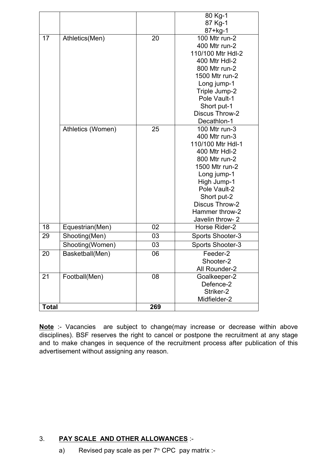|              |                   |     | 80 Kg-1                     |
|--------------|-------------------|-----|-----------------------------|
|              |                   |     | 87 Kg-1                     |
|              |                   |     | 87+kg-1                     |
| 17           | Athletics(Men)    | 20  | 100 Mtr run-2               |
|              |                   |     | 400 Mtr run-2               |
|              |                   |     | 110/100 Mtr Hdl-2           |
|              |                   |     | 400 Mtr Hdl-2               |
|              |                   |     | 800 Mtr run-2               |
|              |                   |     | 1500 Mtr run-2              |
|              |                   |     | Long jump-1                 |
|              |                   |     | Triple Jump-2               |
|              |                   |     | Pole Vault-1                |
|              |                   |     | Short put-1                 |
|              |                   |     | <b>Discus Throw-2</b>       |
|              |                   |     | Decathlon-1                 |
|              | Athletics (Women) | 25  | 100 Mtr run-3               |
|              |                   |     | 400 Mtr run-3               |
|              |                   |     | 110/100 Mtr Hdl-1           |
|              |                   |     | 400 Mtr Hdl-2               |
|              |                   |     | 800 Mtr run-2               |
|              |                   |     | 1500 Mtr run-2              |
|              |                   |     | Long jump-1                 |
|              |                   |     | High Jump-1<br>Pole Vault-2 |
|              |                   |     | Short put-2                 |
|              |                   |     | <b>Discus Throw-2</b>       |
|              |                   |     | Hammer throw-2              |
|              |                   |     | Javelin throw- 2            |
| 18           | Equestrian(Men)   | 02  | Horse Rider-2               |
| 29           | Shooting(Men)     | 03  | Sports Shooter-3            |
|              | Shooting(Women)   | 03  | Sports Shooter-3            |
| 20           | Basketball(Men)   | 06  | Feeder-2                    |
|              |                   |     | Shooter-2                   |
|              |                   |     | All Rounder-2               |
| 21           | Football(Men)     | 08  | Goalkeeper-2                |
|              |                   |     | Defence-2                   |
|              |                   |     | Striker-2                   |
|              |                   |     | Midfielder-2                |
| <b>Total</b> |                   | 269 |                             |
|              |                   |     |                             |

**Note** :- Vacancies are subject to change(may increase or decrease within above disciplines). BSF reserves the right to cancel or postpone the recruitment at any stage and to make changes in sequence of the recruitment process after publication of this advertisement without assigning any reason.

# 3. **PAY SCALE AND OTHER ALLOWANCES** :-

a) Revised pay scale as per  $7<sup>th</sup>$  CPC pay matrix :-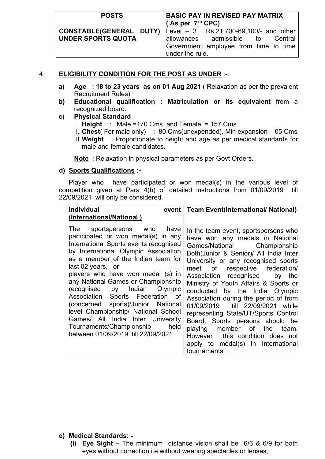### 4. **ELIGIBILITY CONDITION FOR THE POST AS UNDER** :-

- **a) Age** : **18 to 23 years as on 01 Aug 2021** ( Relaxation as per the prevalent Recruitment Rules)
- **b) Educational qualification : Matriculation or its equivalent** from a recognized board.

#### **c) Physical Standard**

- I. **Height** : Male =170 Cms and Female = 157 Cms
- II. **Chest**( For male only) : 80 Cms(unexpended). Min expansion 05 Cms
- III.**Weight** : Proportionate to height and age as per medical standards for male and female candidates.

**Note** : Relaxation in physical parameters as per Govt Orders.

#### **d) Sports Qualifications :-**

Player who have participated or won medal(s) in the various level of competition given at Para 4(b) of detailed instructions from 01/09/2019 till 22/09/2021 will only be considered.

| <b>Individual</b><br>event                                                                                                                                                                                                                                                                                                                                                                                                                                                                                                                                | <b>Team Event(International/ National)</b>                                                                                                                                                                                                                                                                                                                                                                                                                                                                                                                                                                              |
|-----------------------------------------------------------------------------------------------------------------------------------------------------------------------------------------------------------------------------------------------------------------------------------------------------------------------------------------------------------------------------------------------------------------------------------------------------------------------------------------------------------------------------------------------------------|-------------------------------------------------------------------------------------------------------------------------------------------------------------------------------------------------------------------------------------------------------------------------------------------------------------------------------------------------------------------------------------------------------------------------------------------------------------------------------------------------------------------------------------------------------------------------------------------------------------------------|
| (International/National)                                                                                                                                                                                                                                                                                                                                                                                                                                                                                                                                  |                                                                                                                                                                                                                                                                                                                                                                                                                                                                                                                                                                                                                         |
| The sportspersons who have<br>participated or won medal(s) in any<br>International Sports events recognised<br>by International Olympic Association<br>as a member of the Indian team for<br>last 02 years, or<br>players who have won medal (s) in<br>any National Games or Championship<br>recognised by Indian Olympic<br>Association Sports Federation of<br>(concerned sports)/Junior National<br>level Championship/ National School<br>Games/ All India Inter University<br>Tournaments/Championship<br>held<br>between 01/09/2019 till 22/09/2021 | In the team event, sportspersons who<br>have won any medals in National<br>Games/National Championship<br>Both(Junior & Senior)/ All India Inter<br>University or any recognised sports<br>meet of<br>respective federation/<br>Association recognised by the<br>Ministry of Youth Affairs & Sports or<br>conducted by the India Olympic<br>Association during the period of from<br>01/09/2019 till 22/09/2021 while<br>representing State/UT/Sports Control<br>Board, Sports persons should be<br>playing member of the team.<br>However this condition does not<br>apply to medal(s) in International<br>tournaments |

#### **e) Medical Standards: -**

**(i) Eye Sight –** The minimum distance vision shall be 6/6 & 6/9 for both eyes without correction i.e without wearing spectacles or lenses;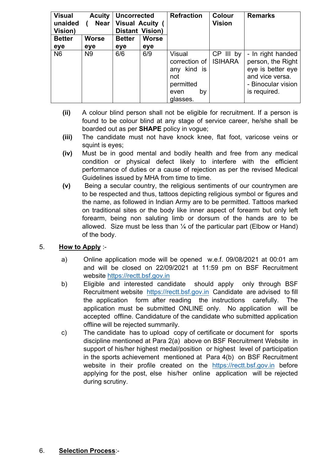| <b>Visual</b><br><b>Acuity</b><br><b>Uncorrected</b><br><b>Visual Acuity</b><br>unaided<br><b>Near</b><br>Vision)<br><b>Distant Vision)</b> |                       | <b>Refraction</b> | <b>Colour</b><br><b>Vision</b> | <b>Remarks</b>                                                                     |                             |                                                                                                                      |
|---------------------------------------------------------------------------------------------------------------------------------------------|-----------------------|-------------------|--------------------------------|------------------------------------------------------------------------------------|-----------------------------|----------------------------------------------------------------------------------------------------------------------|
| <b>Better</b>                                                                                                                               | <b>Worse</b>          | <b>Better</b>     | <b>Worse</b>                   |                                                                                    |                             |                                                                                                                      |
| eye<br>N <sub>6</sub>                                                                                                                       | eye<br>N <sub>9</sub> | eye<br>6/6        | eye<br>6/9                     | <b>Visual</b><br>correction of<br>kind is<br>any<br>not<br>permitted<br>by<br>even | CP III by<br><b>ISIHARA</b> | - In right handed<br>person, the Right<br>eye is better eye<br>and vice versa.<br>- Binocular vision<br>is required. |

- **(ii)** A colour blind person shall not be eligible for recruitment. If a person is found to be colour blind at any stage of service career, he/she shall be boarded out as per **SHAPE** policy in vogue;
- **(iii)** The candidate must not have knock knee, flat foot, varicose veins or squint is eyes;
- **(iv)** Must be in good mental and bodily health and free from any medical condition or physical defect likely to interfere with the efficient performance of duties or a cause of rejection as per the revised Medical Guidelines issued by MHA from time to time.
- **(v)** Being a secular country, the religious sentiments of our countrymen are to be respected and thus, tattoos depicting religious symbol or figures and the name, as followed in Indian Army are to be permitted. Tattoos marked on traditional sites or the body like inner aspect of forearm but only left forearm, being non saluting limb or dorsum of the hands are to be allowed. Size must be less than  $\frac{1}{4}$  of the particular part (Elbow or Hand) of the body.

# 5. **How to Apply** :-

- a) Online application mode will be opened w.e.f. 09/08/2021 at 00:01 am and will be closed on 22/09/2021 at 11:59 pm on BSF Recruitment website https://rectt.bsf.gov.in
- b) Eligible and interested candidate should apply only through BSF Recruitment website https://rectt.bsf.gov.in Candidate are advised to fill the application form after reading the instructions carefully. The application must be submitted ONLINE only. No application will be accepted offline. Candidature of the candidate who submitted application offline will be rejected summarily.
- c) The candidate has to upload copy of certificate or document for sports discipline mentioned at Para 2(a) above on BSF Recruitment Website in support of his/her highest medal/position or highest level of participation in the sports achievement mentioned at Para 4(b) on BSF Recruitment website in their profile created on the https://rectt.bsf.gov.in before applying for the post, else his/her online application will be rejected during scrutiny.

# 6. **Selection Process**:-